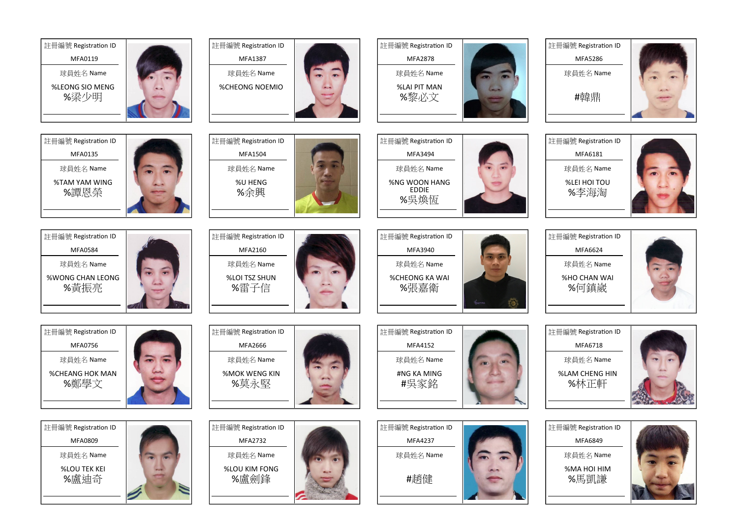